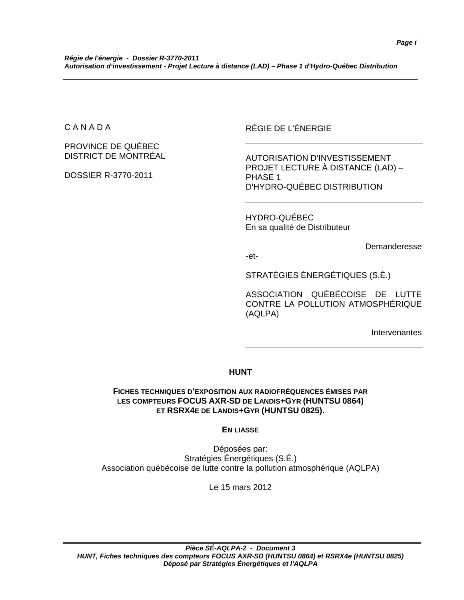C A N A D A

PROVINCE DE QUÉBEC DISTRICT DE MONTRÉAL

DOSSIER R-3770-2011

RÉGIE DE L'ÉNERGIE

AUTORISATION D'INVESTISSEMENT PROJET LECTURE À DISTANCE (LAD) – PHASE 1 D'HYDRO-QUÉBEC DISTRIBUTION

HYDRO-QUÉBEC En sa qualité de Distributeur

Demanderesse

-et-

STRATÉGIES ÉNERGÉTIQUES (S.É.)

ASSOCIATION QUÉBÉCOISE DE LUTTE CONTRE LA POLLUTION ATMOSPHÉRIQUE (AQLPA)

Intervenantes

# **HUNT**

# **FICHES TECHNIQUES D'EXPOSITION AUX RADIOFRÉQUENCES ÉMISES PAR LES COMPTEURS FOCUS AXR-SD DE LANDIS+GYR (HUNTSU 0864) ET RSRX4E DE LANDIS+GYR (HUNTSU 0825).**

**EN LIASSE**

Déposées par: Stratégies Énergétiques (S.É.) Association québécoise de lutte contre la pollution atmosphérique (AQLPA)

Le 15 mars 2012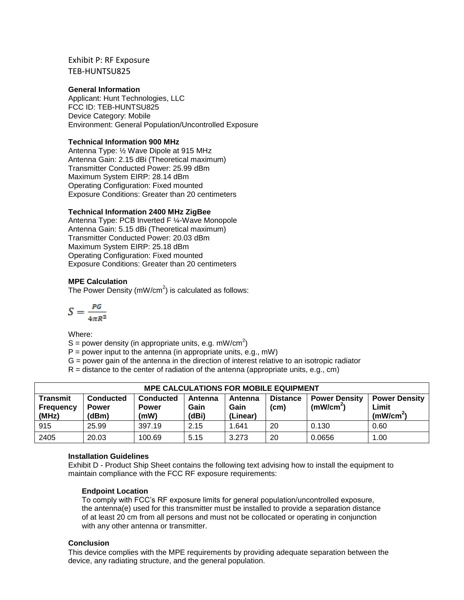## Exhibit P: RF Exposure TEB-HUNTSU825

### **General Information**

Applicant: Hunt Technologies, LLC FCC ID: TEB-HUNTSU825 Device Category: Mobile Environment: General Population/Uncontrolled Exposure

#### **Technical Information 900 MHz**

Antenna Type: ½ Wave Dipole at 915 MHz Antenna Gain: 2.15 dBi (Theoretical maximum) Transmitter Conducted Power: 25.99 dBm Maximum System EIRP: 28.14 dBm Operating Configuration: Fixed mounted Exposure Conditions: Greater than 20 centimeters

#### **Technical Information 2400 MHz ZigBee**

Antenna Type: PCB Inverted F ¼-Wave Monopole Antenna Gain: 5.15 dBi (Theoretical maximum) Transmitter Conducted Power: 20.03 dBm Maximum System EIRP: 25.18 dBm Operating Configuration: Fixed mounted Exposure Conditions: Greater than 20 centimeters

#### **MPE Calculation**

The Power Density (mW/cm<sup>2</sup>) is calculated as follows:

$$
S = \frac{PG}{4\pi R^2}
$$

Where:

S = power density (in appropriate units, e.g. mW/cm<sup>2</sup>)

 $P =$  power input to the antenna (in appropriate units, e.g., mW)

G = power gain of the antenna in the direction of interest relative to an isotropic radiator

 $R =$  distance to the center of radiation of the antenna (appropriate units, e.g., cm)

| <b>MPE CALCULATIONS FOR MOBILE EQUIPMENT</b> |                                           |                                          |                          |                             |                         |                                               |                                                        |  |  |  |
|----------------------------------------------|-------------------------------------------|------------------------------------------|--------------------------|-----------------------------|-------------------------|-----------------------------------------------|--------------------------------------------------------|--|--|--|
| <b>Transmit</b><br><b>Frequency</b><br>(MHz) | <b>Conducted</b><br><b>Power</b><br>(dBm) | <b>Conducted</b><br><b>Power</b><br>(mW) | Antenna<br>Gain<br>(dBi) | Antenna<br>Gain<br>(Linear) | <b>Distance</b><br>(cm) | <b>Power Density</b><br>(mW/cm <sup>2</sup> ) | <b>Power Density</b><br>Limit<br>(mW/cm <sup>2</sup> ) |  |  |  |
| 915                                          | 25.99                                     | 397.19                                   | 2.15                     | 1.641                       | 20                      | 0.130                                         | 0.60                                                   |  |  |  |
| 2405                                         | 20.03                                     | 100.69                                   | 5.15                     | 3.273                       | 20                      | 0.0656                                        | 1.00                                                   |  |  |  |

## **Installation Guidelines**

Exhibit D - Product Ship Sheet contains the following text advising how to install the equipment to maintain compliance with the FCC RF exposure requirements:

#### **Endpoint Location**

To comply with FCC's RF exposure limits for general population/uncontrolled exposure, the antenna(e) used for this transmitter must be installed to provide a separation distance of at least 20 cm from all persons and must not be collocated or operating in conjunction with any other antenna or transmitter.

#### **Conclusion**

This device complies with the MPE requirements by providing adequate separation between the device, any radiating structure, and the general population.